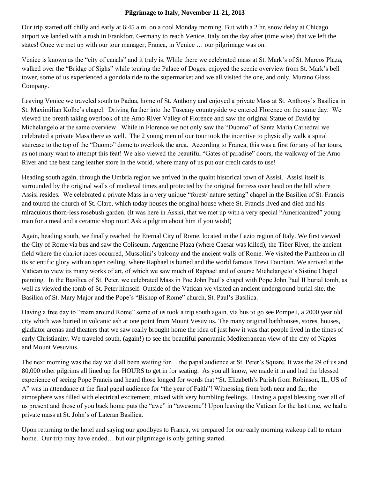## **Pilgrimage to Italy, November 11-21, 2013**

Our trip started off chilly and early at 6:45 a.m. on a cool Monday morning. But with a 2 hr. snow delay at Chicago airport we landed with a rush in Frankfort, Germany to reach Venice, Italy on the day after (time wise) that we left the states! Once we met up with our tour manager, Franca, in Venice … our pilgrimage was on.

Venice is known as the "city of canals" and it truly is. While there we celebrated mass at St. Mark's of St. Marcos Plaza, walked over the "Bridge of Sighs" while touring the Palace of Doges, enjoyed the scenic overview from St. Mark's bell tower, some of us experienced a gondola ride to the supermarket and we all visited the one, and only, Murano Glass Company.

Leaving Venice we traveled south to Padua, home of St. Anthony and enjoyed a private Mass at St. Anthony's Basilica in St. Maximilian Kolbe's chapel. Driving further into the Tuscany countryside we entered Florence on the same day. We viewed the breath taking overlook of the Arno River Valley of Florence and saw the original Statue of David by Michelangelo at the same overview. While in Florence we not only saw the "Duomo" of Santa Maria Cathedral we celebrated a private Mass there as well. The 2 young men of our tour took the incentive to physically walk a spiral staircase to the top of the "Duomo" dome to overlook the area. According to Franca, this was a first for any of her tours, as not many want to attempt this feat! We also viewed the beautiful "Gates of paradise" doors, the walkway of the Arno River and the best dang leather store in the world, where many of us put our credit cards to use!

Heading south again, through the Umbria region we arrived in the quaint historical town of Assisi. Assisi itself is surrounded by the original walls of medieval times and protected by the original fortress over head on the hill where Assisi resides. We celebrated a private Mass in a very unique "forest/ nature setting" chapel in the Basilica of St. Francis and toured the church of St. Clare, which today houses the original house where St. Francis lived and died and his miraculous thorn-less rosebush garden. (It was here in Assisi, that we met up with a very special "Americanized" young man for a meal and a ceramic shop tour! Ask a pilgrim about him if you wish!)

Again, heading south, we finally reached the Eternal City of Rome, located in the Lazio region of Italy. We first viewed the City of Rome via bus and saw the Coliseum, Argentine Plaza (where Caesar was killed), the Tiber River, the ancient field where the chariot races occurred, Mussolini's balcony and the ancient walls of Rome. We visited the Pantheon in all its scientific glory with an open ceiling, where Raphael is buried and the world famous Trevi Fountain. We arrived at the Vatican to view its many works of art, of which we saw much of Raphael and of course Michelangelo's Sistine Chapel painting. In the Basilica of St. Peter, we celebrated Mass in Poe John Paul's chapel with Pope John Paul II burial tomb, as well as viewed the tomb of St. Peter himself. Outside of the Vatican we visited an ancient underground burial site, the Basilica of St. Mary Major and the Pope's "Bishop of Rome" church, St. Paul's Basilica.

Having a free day to "roam around Rome" some of us took a trip south again, via bus to go see Pompeii, a 2000 year old city which was buried in volcanic ash at one point from Mount Vesuvius. The many original bathhouses, stores, houses, gladiator arenas and theaters that we saw really brought home the idea of just how it was that people lived in the times of early Christianity. We traveled south, (again!) to see the beautiful panoramic Mediterranean view of the city of Naples and Mount Vesuvius.

The next morning was the day we'd all been waiting for… the papal audience at St. Peter's Square. It was the 29 of us and 80,000 other pilgrims all lined up for HOURS to get in for seating. As you all know, we made it in and had the blessed experience of seeing Pope Francis and heard those longed for words that "St. Elizabeth's Parish from Robinson, IL, US of A" was in attendance at the final papal audience for "the year of Faith"! Witnessing from both near and far, the atmosphere was filled with electrical excitement, mixed with very humbling feelings. Having a papal blessing over all of us present and those of you back home puts the "awe" in "awesome"! Upon leaving the Vatican for the last time, we had a private mass at St. John's of Lateran Basilica.

Upon returning to the hotel and saying our goodbyes to Franca, we prepared for our early morning wakeup call to return home. Our trip may have ended... but our pilgrimage is only getting started.